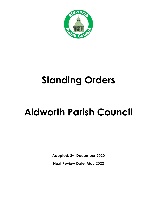

## **Standing Orders**

# **Aldworth Parish Council**

**Adopted: 2nd December 2020**

**Next Review Date: May 2022**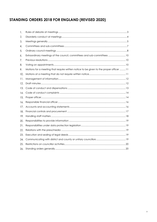## STANDING ORDERS 2018 FOR ENGLAND (REVISED 2020)

| 1.  |                                                                                        |
|-----|----------------------------------------------------------------------------------------|
| 2.  |                                                                                        |
| 3.  |                                                                                        |
| 4.  |                                                                                        |
| 5.  |                                                                                        |
| 6.  | Extraordinary meetings of the council, committees and sub-committees  10               |
| 7.  |                                                                                        |
| 8.  |                                                                                        |
| 9.  | Motions for a meeting that require written notice to be given to the proper officer 11 |
| 10. |                                                                                        |
| 11. |                                                                                        |
| 12. |                                                                                        |
| 13. |                                                                                        |
|     |                                                                                        |
| 14. |                                                                                        |
| 15. |                                                                                        |
| 16. |                                                                                        |
| 17. |                                                                                        |
| 18. |                                                                                        |
| 19. |                                                                                        |
| 20. |                                                                                        |
| 21. |                                                                                        |
| 22. |                                                                                        |
| 23. |                                                                                        |
| 24. |                                                                                        |
| 25. |                                                                                        |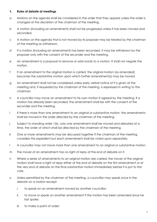#### <span id="page-2-0"></span>**Rules of debate at meetings** 1.

- a Motions on the agenda shall be considered in the order that they appear unless the order is changed at the discretion of the chairman of the meeting.
- b A motion (including an amendment) shall not be progressed unless it has been moved and seconded.
- c A motion on the agenda that is not moved by its proposer may be treated by the chairman of the meeting as withdrawn.
- d If a motion (including an amendment) has been seconded, it may be withdrawn by the proposer only with the consent of the seconder and the meeting.
- e An amendment is a proposal to remove or add words to a motion. It shall not negate the motion.
- f If an amendment to the original motion is carried, the original motion (as amended) becomes the substantive motion upon which further amendment(s) may be moved.
- g An amendment shall not be considered unless early verbal notice of it is given at the meeting and, if requested by the chairman of the meeting, is expressed in writing to the chairman.
- h A councillor may move an amendment to his own motion if agreed by the meeting. If a motion has already been seconded, the amendment shall be with the consent of the seconder and the meeting.
- i If there is more than one amendment to an original or substantive motion, the amendments shall be moved in the order directed by the chairman of the meeting.
- j Subject to standing order 1(k), only one amendment shall be moved and debated at a time, the order of which shall be directed by the chairman of the meeting.
- k One or more amendments may be discussed together if the chairman of the meeting considers this expedient but each amendment shall be voted upon separately.
- l A councillor may not move more than one amendment to an original or substantive motion.
- m The mover of an amendment has no right of reply at the end of debate on it.
- n Where a series of amendments to an original motion are carried, the mover of the original motion shall have a right of reply either at the end of debate on the first amendment or at the very end of debate on the final substantive motion immediately before it is put to the vote.
- o Unless permitted by the chairman of the meeting, a councillor may speak once in the debate on a motion except:
	- i. to speak on an amendment moved by another councillor;
	- ii. to move or speak on another amendment if the motion has been amended since he last spoke;
	- iii. to make a point of order;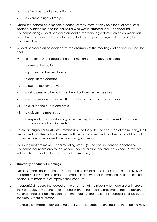- iv. to give a personal explanation; or
- v. to exercise a right of reply.
- p During the debate on a motion, a councillor may interrupt only on a point of order or a personal explanation and the councillor who was interrupted shall stop speaking. A councillor raising a point of order shall identify the standing order which he considers has been breached or specify the other irregularity in the proceedings of the meeting he is concerned by.
- q A point of order shall be decided by the chairman of the meeting and his decision shall be final.
- r When a motion is under debate, no other motion shall be moved except:
	- i. to amend the motion;
	- ii. to proceed to the next business;
	- iii. to adjourn the debate;
	- iv. to put the motion to a vote;
	- v. to ask a person to be no longer heard or to leave the meeting;
	- vi. to refer a motion to a committee or sub-committee for consideration;
	- vii. to exclude the public and press;
	- viii. to adjourn the meeting; or
	- ix. to suspend particular standing order(s) excepting those which reflect mandatory statutory or legal requirements.
- s Before an original or substantive motion is put to the vote, the chairman of the meeting shall be satisfied that the motion has been sufficiently debated and that the mover of the motion under debate has exercised or waived his right of reply.
- t Excluding motions moved under standing order 1(r), the contributions or speeches by a councillor shall relate only to the motion under discussion and shall not exceed 5 minutes without the consent of the chairman of the meeting.

## <span id="page-3-0"></span> $2.$ **Disorderly conduct at meetings**

- a No person shall obstruct the transaction of business at a meeting or behave offensively or improperly. If this standing order is ignored, the chairman of the meeting shall request such person(s) to moderate or improve their conduct.
- b If person(s) disregard the request of the chairman of the meeting to moderate or improve their conduct, any councillor or the chairman of the meeting may move that the person be no longer heard or be excluded from the meeting. The motion, if seconded, shall be put to the vote without discussion.
- c If a resolution made under standing order 2(b) is ignored, the chairman of the meeting may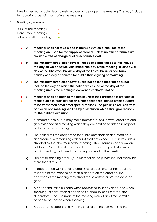take further reasonable steps to restore order or to progress the meeting. This may include temporarily suspending or closing the meeting.

## <span id="page-4-0"></span> $3<sub>1</sub>$ **Meetings generally**

Full Council meetings Committee meetings Sub-committee meetings •

- a **Meetings shall not take place in premises which at the time of the meeting are used for the supply of alcohol, unless no other premises are available free of charge or at a reasonable cost.**
- b **The minimum three clear days for notice of a meeting does not include the day on which notice was issued, the day of the meeting, a Sunday, a day of the Christmas break, a day of the Easter break or of a bank holiday or a day appointed for public thanksgiving or mourning.**
- c **The minimum three clear days' public notice for a meeting does not include the day on which the notice was issued or the day of the meeting unless the meeting is convened at shorter notice .**
- ● d **Meetings shall be open to the public unless their presence is prejudicial to the public interest by reason of the confidential nature of the business to be transacted or for other special reasons. The public's exclusion from part or all of a meeting shall be by a resolution which shall give reasons for the public's exclusion.**
	- e Members of the public may make representations, answer questions and give evidence at a meeting which they are entitled to attend in respect of the business on the agenda.
	- f The period of time designated for public participation at a meeting in accordance with standing order 3(e) shall not exceed 10 minutes unless directed by the chairman of the meeting. The Chairman can allow an additional 5 minutes at their discretion. This can apply to both times public speaking is allowed (beginning and end of the meeting).
	- g Subject to standing order 3(f), a member of the public shall not speak for more than 3 minutes.
	- h In accordance with standing order 3(e), a question shall not require a response at the meeting nor start a debate on the question. The chairman of the meeting may direct that a written or oral response be given.
	- i A person shall raise his hand when requesting to speak and stand when speaking (except when a person has a disability or is likely to suffer discomfort)]. The chairman of the meeting may at any time permit a person to be seated when speaking.
	- j A person who speaks at a meeting shall direct his comments to the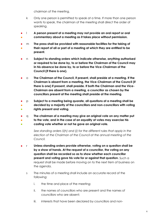chairman of the meeting.

- k Only one person is permitted to speak at a time. If more than one person wants to speak, the chairman of the meeting shall direct the order of speaking.
- ● l **A person present at a meeting may not provide an oral report or oral commentary about a meeting as it takes place without permission.**
- ● m **The press shall be provided with reasonable facilities for the taking of their report of all or part of a meeting at which they are entitled to be present.**
- n **Subject to standing orders which indicate otherwise, anything authorised or required to be done by, to or before the Chairman of the Council may in his absence be done by, to or before the Vice-Chairman of the Council (if there is one).**
- o **The Chairman of the Council, if present, shall preside at a meeting. If the Chairman is absent from a meeting, the Vice-Chairman of the Council (if there is one) if present, shall preside. If both the Chairman and the Vice-Chairman are absent from a meeting, a councillor as chosen by the councillors present at the meeting shall preside at the meeting.**
- ● **。** p **Subject to a meeting being quorate, all questions at a meeting shall be decided by a majority of the councillors and non-councillors with voting rights present and voting.**
- q **The chairman of a meeting may give an original vote on any matter put**
- **to the vote, and in the case of an equality of votes may exercise his**
- $\bullet$ **casting vote whether or not he gave an original vote.**

*See standing orders 5(h) and (i) for the different rules that apply in the election of the Chairman of the Council at the annual meeting of the Council.*

- r **Unless standing orders provide otherwise, voting on a question shall be by a show of hands. At the request of a councillor, the voting on any question shall be recorded so as to show whether each councillor present and voting gave his vote for or against that question.** Such a request shall be made before moving on to the next item of business on the agenda.
	- s The minutes of a meeting shall include an accurate record of the following:
		- i. the time and place of the meeting;
		- ii. the names of councillors who are present and the names of councillors who are absent;
		- iii. interests that have been declared by councillors and non-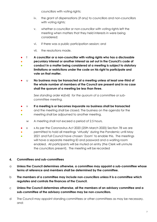councillors with voting rights;

- iv. the grant of dispensations (if any) to councillors and non-councillors with voting rights;
- v. whether a councillor or non-councillor with voting rights left the meeting when matters that they held interests in were being considered;
- vi. if there was a public participation session; and
- vii. the resolutions made.
- t **A councillor or a non-councillor with voting rights who has a disclosable**
- ● **pecuniary interest or another interest as set out in the Council's code of conduct in a matter being considered at a meeting is subject to statutory limitations or restrictions under the code on his right to participate and vote on that matter.**
- u **No business may be transacted at a meeting unless at least one-third of the whole number of members of the Council are present and in no case shall the quorum of a meeting be less than three.**

*See standing order 4d(viii) for the quorum of a committee or subcommittee meeting.* 

- v **If a meeting is or becomes inquorate no business shall be transacted**
- and the meeting shall be closed. The business on the agenda for the
- meeting shall be adjourned to another meeting.
	- w A meeting shall not exceed a period of 2.5 hours.
- x x As per the Coronavirus Act 2020 (25th March 2020) Section 78 we are
- permitted to hold all meetings 'virtually' during the Pandemic until May
- 2021 and Full Council have chosen 'Zoom' to enable this. The meetings will have a separate meeting ID and password and a waiting room enabled. All participants will be muted on entry (the Clerk will unmute the councillors present). The meeting will be recorded

## <span id="page-6-0"></span>**Committees and sub-committees** 4.

- a **Unless the Council determines otherwise, a committee may appoint a sub-committee whose terms of reference and members shall be determined by the committee.**
- b **The members of a committee may include non-councillors unless it is a committee which regulates and controls the finances of the Council.**
- c **Unless the Council determines otherwise, all the members of an advisory committee and a sub-committee of the advisory committee may be non-councillors.**
- d The Council may appoint standing committees or other committees as may be necessary, and: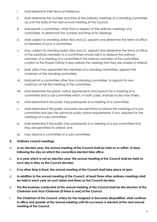- i. shall determine their terms of reference;
- ii. shall determine the number and time of the ordinary meetings of a standing committee up until the date of the next annual meeting of the Council;
- iii. shall permit a committee, other than in respect of the ordinary meetings of a committee, to determine the number and time of its meetings;
- iv. shall, subject to standing orders 4(b) and (c), appoint and determine the terms of office of members of such a committee;
- v. may, subject to standing orders 4(b) and (c), appoint and determine the terms of office of the substitute members to a committee whose role is to replace the ordinary members at a meeting of a committee if the ordinary members of the committee confirm to the Proper Officer 3 days before the meeting that they are unable to attend;
- vi. shall, after it has appointed the members of a standing committee, appoint the chairman of the standing committee;
- vii. shall permit a committee other than a standing committee, to appoint its own chairman at the first meeting of the committee;
- viii. shall determine the place, notice requirements and quorum for a meeting of a committee and a sub-committee which, in both cases, shall be no less than three;
- ix. shall determine if the public may participate at a meeting of a committee;
- x. shall determine if the public and press are permitted to attend the meetings of a subcommittee and also the advance public notice requirements, if any, required for the meetings of a sub-committee;
- xi. shall determine if the public may participate at a meeting of a sub-committee that they are permitted to attend; and
- xii. may dissolve a committee or a sub-committee.

## <span id="page-7-0"></span>5. **Ordinary council meetings**

- a **In an election year, the annual meeting of the Council shall be held on or within 14 days following the day on which the councillors elected take office.**
- b **In a year which is not an election year, the annual meeting of the Council shall be held on such day in May as the Council decides.**
- c **If no other time is fixed, the annual meeting of the Council shall take place at 6pm.**
- d **In addition to the annual meeting of the Council, at least three other ordinary meetings shall be held in each year on such dates and times as the Council decides.**
- e **The first business conducted at the annual meeting of the Council shall be the election of the Chairman and Vice-Chairman (if there is one) of the Council.**
- f **The Chairman of the Council, unless he has resigned or becomes disqualified, shall continue in office and preside at the annual meeting until his successor is elected at the next annual meeting of the Council.**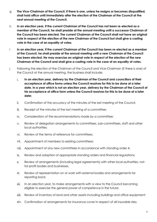- g **The Vice-Chairman of the Council, if there is one, unless he resigns or becomes disqualified, shall hold office until immediately after the election of the Chairman of the Council at the next annual meeting of the Council.**
- h **In an election year, if the current Chairman of the Council has not been re-elected as a member of the Council, he shall preside at the annual meeting until a successor Chairman of the Council has been elected. The current Chairman of the Council shall not have an original vote in respect of the election of the new Chairman of the Council but shall give a casting vote in the case of an equality of votes.**
- i **In an election year, if the current Chairman of the Council has been re-elected as a member of the Council, he shall preside at the annual meeting until a new Chairman of the Council has been elected. He may exercise an original vote in respect of the election of the new Chairman of the Council and shall give a casting vote in the case of an equality of votes.**
- j Following the election of the Chairman of the Council and Vice-Chairman (if there is one) of the Council at the annual meeting, the business shall include:
	- i. **In an election year, delivery by the Chairman of the Council and councillors of their acceptance of office forms unless the Council resolves for this to be done at a later date. In a year which is not an election year, delivery by the Chairman of the Council of his acceptance of office form unless the Council resolves for this to be done at a later date;**
	- ii. Confirmation of the accuracy of the minutes of the last meeting of the Council;
	- iii. Receipt of the minutes of the last meeting of a committee;
	- iv. Consideration of the recommendations made by a committee;
	- v. Review of delegation arrangements to committees, sub-committees, staff and other local authorities;
	- vi. Review of the terms of reference for committees;
	- vii. Appointment of members to existing committees;
	- viii. Appointment of any new committees in accordance with standing order 4;
	- ix. Review and adoption of appropriate standing orders and financial regulations;
	- x. Review of arrangements (including legal agreements) with other local authorities, notfor-profit bodies and businesses.
	- xi. Review of representation on or work with external bodies and arrangements for reporting back;
	- xii. In an election year, to make arrangements with a view to the Council becoming eligible to exercise the general power of competence in the future;
	- xiii. Review of inventory of land and other assets including buildings and office equipment;
	- xiv. Confirmation of arrangements for insurance cover in respect of all insurable risks;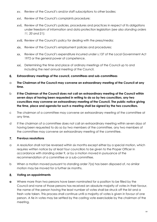- xv. Review of the Council's and/or staff subscriptions to other bodies;
- xvi. Review of the Council's complaints procedure;
- xvii. Review of the Council's policies, procedures and practices in respect of its obligations under freedom of information and data protection legislation (*see also standing orders 11, 20 and 21*);
- xviii. Review of the Council's policy for dealing with the press/media;
- xix. Review of the Council's employment policies and procedures;
- xx. Review of the Council's expenditure incurred under s.137 of the Local Government Act 1972 or the general power of competence.
- xxi. Determining the time and place of ordinary meetings of the Council up to and including the next annual meeting of the Council.

## <span id="page-9-0"></span> $6.$ **Extraordinary meetings of the council, committees and sub-committees**

- a **The Chairman of the Council may convene an extraordinary meeting of the Council at any time.**
- b **If the Chairman of the Council does not call an extraordinary meeting of the Council within seven days of having been requested in writing to do so by two councillors, any two councillors may convene an extraordinary meeting of the Council. The public notice giving the time, place and agenda for such a meeting shall be signed by the two councillors.**
- c The chairman of a committee may convene an extraordinary meeting of the committee at any time.
- d If the chairman of a committee does not call an extraordinary meeting within seven days of having been requested to do so by two members of the committee, any two members of the committee may convene an extraordinary meeting of the committee.

## <span id="page-9-1"></span> $7.$ **Previous resolutions**

- a A resolution shall not be reversed within six months except either by a special motion, which requires written notice by at least four councillors to be given to the Proper Officer in accordance with standing order 9, or by a motion moved in pursuance of the recommendation of a committee or a sub-committee.
- b When a motion moved pursuant to standing order 7(a) has been disposed of, no similar motion may be moved for a further six months.

## <span id="page-9-2"></span>8. **Voting on appointments**

**a** Where more than two persons have been nominated for a position to be filled by the Council and none of those persons has received an absolute majority of votes in their favour, the name of the person having the least number of votes shall be struck off the list and a fresh vote taken. This process shall continue until a majority of votes is given in favour of one person. A tie in votes may be settled by the casting vote exercisable by the chairman of the meeting.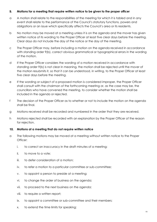### <span id="page-10-0"></span>**Motions for a meeting that require written notice to be given to the proper officer**  9.

- a A motion shall relate to the responsibilities of the meeting for which it is tabled and in any event shall relate to the performance of the Council's statutory functions, powers and obligations or an issue which specifically affects the Council's area or its residents.
- b No motion may be moved at a meeting unless it is on the agenda and the mover has given written notice of its wording to the Proper Officer at least five clear days before the meeting. Clear days do not include the day of the notice or the day of the meeting.
- c The Proper Officer may, before including a motion on the agenda received in accordance with standing order 9(b), correct obvious grammatical or typographical errors in the wording of the motion.
- d If the Proper Officer considers the wording of a motion received in accordance with standing order 9(b) is not clear in meaning, the motion shall be rejected until the mover of the motion resubmits it, so that it can be understood, in writing, to the Proper Officer at least five clear days before the meeting.
- e If the wording or subject of a proposed motion is considered improper, the Proper Officer shall consult with the chairman of the forthcoming meeting or, as the case may be, the councillors who have convened the meeting, to consider whether the motion shall be included in the agenda or rejected.
- f The decision of the Proper Officer as to whether or not to include the motion on the agenda shall be final.
- g Motions received shall be recorded and numbered in the order that they are received.
- h Motions rejected shall be recorded with an explanation by the Proper Officer of the reason for rejection.

## <span id="page-10-1"></span> $10.$ **Motions at a meeting that do not require written notice**

- a The following motions may be moved at a meeting without written notice to the Proper Officer:
	- i. to correct an inaccuracy in the draft minutes of a meeting;
	- ii. to move to a vote;
	- iii. to defer consideration of a motion;
	- iv. to refer a motion to a particular committee or sub-committee;
	- v. to appoint a person to preside at a meeting;
	- vi. to change the order of business on the agenda;
	- vii. to proceed to the next business on the agenda;
	- viii. to require a written report;
	- ix. to appoint a committee or sub-committee and their members;
	- x. to extend the time limits for speaking;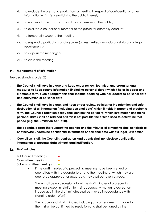- xi. to exclude the press and public from a meeting in respect of confidential or other information which is prejudicial to the public interest;
- xii. to not hear further from a councillor or a member of the public;
- xiii. to exclude a councillor or member of the public for disorderly conduct;
- xiv. to temporarily suspend the meeting;
- xv. to suspend a particular standing order (unless it reflects mandatory statutory or legal requirements);
- xvi. to adjourn the meeting; or
- xvii. to close the meeting.

## <span id="page-11-0"></span>**Management of information**

See also standing order 20.

- a **The Council shall have in place and keep under review, technical and organisational measures to keep secure information (including personal data) which it holds in paper and electronic form. Such arrangements shall include deciding who has access to personal data and encryption of personal data.**
- b **The Council shall have in place, and keep under review, policies for the retention and safe destruction of all information (including personal data) which it holds in paper and electronic form. The Council's retention policy shall confirm the period for which information (including personal data) shall be retained or if this is not possible the criteria used to determine that period (e.g. the Limitation Act 1980).**
- c **The agenda, papers that support the agenda and the minutes of a meeting shall not disclose or otherwise undermine confidential information or personal data without legal justification.**
- d **Councillors, staff, the Council's contractors and agents shall not disclose confidential information or personal data without legal justification.**

## <span id="page-11-1"></span> $12.$ **Draft minutes**

Full Council meetings **•** Committee meetings **•** Sub-committee meetings

- a If the draft minutes of a preceding meeting have been served on councillors with the agenda to attend the meeting at which they are due to be approved for accuracy, they shall be taken as read.
- b There shall be no discussion about the draft minutes of a preceding meeting except in relation to their accuracy. A motion to correct an inaccuracy in the draft minutes shall be moved in accordance with standing order 10(a)(i).
- c The accuracy of draft minutes, including any amendment(s) made to them, shall be confirmed by resolution and shall be signed by the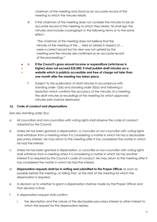chairman of the meeting and stand as an accurate record of the meeting to which the minutes relate.

d If the chairman of the meeting does not consider the minutes to be an accurate record of the meeting to which they relate, he shall sign the minutes and include a paragraph in the following terms or to the same effect:

"The chairman of this meeting does not believe that the minutes of the meeting of the … held on [date] in respect of … were a correct record but his view was not upheld by the meeting and the minutes are confirmed as an accurate record of the proceedings."

- e **If the Council's gross annual income or expenditure (whichever is** 
	- **higher) does not exceed £25,000, it shall publish draft minutes on a website which is publicly accessible and free of charge not later than one month after the meeting has taken place.**
		- f Subject to the publication of draft minutes in accordance with standing order 12(e) and standing order 20(a) and following a resolution which confirms the accuracy of the minutes of a meeting, the draft minutes or recordings of the meeting for which approved minutes exist shall be destroyed.

## <span id="page-12-0"></span>**Code of conduct and dispensations**

See also standing order 3(u).

● ●

- a All councillors and non-councillors with voting rights shall observe the code of conduct adopted by the Council.
- b Unless he has been granted a dispensation, a councillor or non-councillor with voting rights shall withdraw from a meeting when it is considering a matter in which he has a disclosable pecuniary interest. He may return to the meeting after it has considered the matter in which he had the interest.
- c Unless he has been granted a dispensation, a councillor or non-councillor with voting rights shall withdraw from a meeting when it is considering a matter in which he has another interest if so required by the Council's code of conduct. He may return to the meeting after it has considered the matter in which he had the interest.
- d **Dispensation requests shall be in writing and submitted to the Proper Officer** as soon as possible before the meeting, or failing that, at the start of the meeting for which the dispensation is required.
- e A decision as to whether to grant a dispensation shall be made by the Proper Officer and that decision is final.
- f A dispensation request shall confirm:
	- i. the description and the nature of the disclosable pecuniary interest or other interest to which the request for the dispensation relates;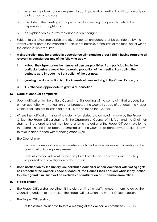- ii. whether the dispensation is required to participate at a meeting in a discussion only or a discussion and a vote;
- iii. the date of the meeting or the period (not exceeding four years) for which the dispensation is sought; and
- iv. an explanation as to why the dispensation is sought.
- g Subject to standing orders 13(d) and (f), a dispensation request shall be considered by the Proper Officer before the meeting or, if this is not possible, at the start of the meeting for which the dispensation is required.
- **h A dispensation may be granted in accordance with standing order 13(e) if having regard to all relevant circumstances any of the following apply:**
	- **i. without the dispensation the number of persons prohibited from participating in the particular business would be so great a proportion of the meeting transacting the business as to impede the transaction of the business;**
	- **ii. granting the dispensation is in the interests of persons living in the Council's area; or**
	- **iii. it is otherwise appropriate to grant a dispensation.**

## <span id="page-13-0"></span>**Code of conduct complaints**

- a Upon notification by the Unitary Council that it is dealing with a complaint that a councillor or non-councillor with voting rights has breached the Council's code of conduct, the Proper Officer shall, subject to standing order 11, report this to the Council.
- b Where the notification in standing order 14(a) relates to a complaint made by the Proper Officer, the Proper Officer shall notify the Chairman of Council of this fact, and the Chairman shall nominate another staff member to assume the duties of the Proper Officer in relation to the complaint until it has been determined and the Council has agreed what action, if any, to take in accordance with standing order 14(d).
- c The Council may:
	- i. provide information or evidence where such disclosure is necessary to investigate the complaint or is a legal requirement;
	- ii. seek information relevant to the complaint from the person or body with statutory responsibility for investigation of the matter;
- d **Upon notification by the Unitary Council that a councillor or non-councillor with voting rights has breached the Council's code of conduct, the Council shall consider what, if any, action to take against him. Such action excludes disqualification or suspension from office.**

## <span id="page-13-1"></span>15. Proper officer

- a The Proper Officer shall be either (i) the clerk or (ii) other staff member(s) nominated by the Council to undertake the work of the Proper Officer when the Proper Officer is absent.
- b The Proper Officer shall:
	- i. **at least three clear days before a meeting of the council, a committee** or a sub-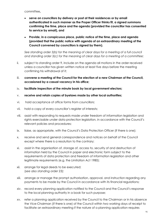committee**,**

- **serve on councillors by delivery or post at their residences or by email authenticated in such manner as the Proper Officer thinks fit, a signed summons confirming the time, place and the agenda (provided the councillor has consented to service by email), and**
- **Provide, in a conspicuous place, public notice of the time, place and agenda (provided that the public notice with agenda of an extraordinary meeting of the Council convened by councillors is signed by them).**

*See standing order 3(b) for the meaning of clear days for a meeting of a full council and standing order 3(c) for the meaning of clear days for a meeting of a committee;*

- ii. subject to standing order 9, include on the agenda all motions in the order received unless a councillor has given written notice at least five days before the meeting confirming his withdrawal of it;
- iii. **convene a meeting of the Council for the election of a new Chairman of the Council, occasioned by a casual vacancy in his office;**
- iv. **facilitate inspection of the minute book by local government electors;**
- v. **receive and retain copies of byelaws made by other local authorities;**
- vi. hold acceptance of office forms from councillors;
- vii. hold a copy of every councillor's register of interests;
- viii. assist with responding to requests made under freedom of information legislation and rights exercisable under data protection legislation, in accordance with the Council's relevant policies and procedures;
- ix. liaise, as appropriate, with the Council's Data Protection Officer (if there is one);
- x. receive and send general correspondence and notices on behalf of the Council except where there is a resolution to the contrary;
- xi. assist in the organisation of, storage of, access to, security of and destruction of information held by the Council in paper and electronic form subject to the requirements of data protection and freedom of information legislation and other legitimate requirements (e.g. the Limitation Act 1980);
- xii. arrange for legal deeds to be executed; (*see also standing order 23);*
- xiii. arrange or manage the prompt authorisation, approval, and instruction regarding any payments to be made by the Council in accordance with its financial regulations;
- xiv. record every planning application notified to the Council and the Council's response to the local planning authority in a book for such purpose;
- xv. refer a planning application received by the Council to the Chairman or in his absence the Vice-Chairman (if there is one) of the Council within two working days of receipt to facilitate an extraordinary meeting if the nature of a planning application requires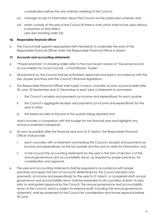consideration before the next ordinary meeting of the Council;

- xvi. manage access to information about the Council via the publication scheme; and
- xvii. retain custody of the seal of the Council (if there is one) which shall not be used without a resolution to that effect. (s*ee also standing order 23).*

## <span id="page-15-0"></span>16. **Responsible financial officer**

a The Council shall appoint appropriate staff member(s) to undertake the work of the Responsible Financial Officer when the Responsible Financial Officer is absent.

## <span id="page-15-1"></span> $17.$ **Accounts and accounting statements**

- a "Proper practices" in standing orders refer to the most recent version of "Governance and Accountability for Local Councils – a Practitioners' Guide".
- b All payments by the Council shall be authorised, approved and paid in accordance with the law, proper practices and the Council's financial regulations.
- c The Responsible Financial Officer shall supply to each councillor as soon as practicable after 30 June, 30 September and 31 December in each year a statement to summarise:
	- i. the Council's receipts and payments (or income and expenditure) for each quarter;
	- ii. the Council's aggregate receipts and payments (or income and expenditure) for the year to date;
	- iii. the balances held at the end of the quarter being reported and

which includes a comparison with the budget for the financial year and highlights any actual or potential overspends.

- d As soon as possible after the financial year end at 31 March, the Responsible Financial Officer shall provide:
	- i. each councillor with a statement summarising the Council's receipts and payments (or income and expenditure) for the last quarter and the year to date for information; and
	- ii. to the Council the accounting statements for the year in the form of Section 2 of the annual governance and accountability return, as required by proper practices, for consideration and approval.
- e The year-end accounting statements shall be prepared in accordance with proper practices and apply the form of accounts determined by the Council (receipts and payments, or income and expenditure) for the year to 31 March. A completed draft annual governance and accountability return shall be presented to all councillors at least 14 days prior to anticipated approval by the Council. The annual governance and accountability return of the Council, which is subject to external audit, including the annual governance statement, shall be presented to the Council for consideration and formal approval before 30 June.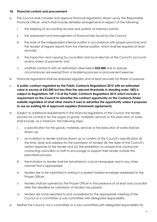#### <span id="page-16-0"></span> $18.$ **Financial controls and procurement**

- a. The Council shall consider and approve financial regulations drawn up by the Responsible Financial Officer, which shall include detailed arrangements in respect of the following:
	- i. the keeping of accounting records and systems of internal controls;
	- ii. the assessment and management of financial risks faced by the Council;
	- iii. the work of the independent internal auditor in accordance with proper practices and the receipt of regular reports from the internal auditor, which shall be required at least annually;
	- iv. the inspection and copying by councillors and local electors of the Council's accounts and/or orders of payments; and
	- v. whether contracts with an estimated value below **£25,000** due to special circumstances are exempt from a tendering process or procurement exercise.
- b. Financial regulations shall be reviewed regularly and at least annually for fitness of purpose.
- c. **A public contract regulated by the Public Contracts Regulations 2015 with an estimated value in excess of £25,000 but less than the relevant thresholds in standing order 18(f) is subject to Regulations 109-114 of the Public Contracts Regulations 2015 which include a requirement on the Council to advertise the contract opportunity on the Contracts Finder website regardless of what other means it uses to advertise the opportunity unless it proposes to use an existing list of approved suppliers (framework agreement).**
- d. Subject to additional requirements in the financial regulations of the Council, the tender process for contracts for the supply of goods, materials, services or the execution of works shall include, as a minimum, the following steps:
	- i. a specification for the goods, materials, services or the execution of works shall be drawn up;
	- ii. an invitation to tender shall be drawn up to confirm (i) the Council's specification (ii) the time, date and address for the submission of tenders (iii) the date of the Council's written response to the tender and (iv) the prohibition on prospective contractors contacting councillors or staff to encourage or support their tender outside the prescribed process;
	- iii. the invitation to tender shall be advertised in a local newspaper and in any other manner that is appropriate;
	- iv. tenders are to be submitted in writing in a sealed marked envelope addressed to the Proper Officer;
	- v. tenders shall be opened by the Proper Officer in the presence of at least one councillor after the deadline for submission of tenders has passed;
	- vi. tenders are to be reported to and considered by the appropriate meeting of the Council or a committee or sub-committee with delegated responsibility.
- e. Neither the Council, nor a committee or a sub-committee with delegated responsibility for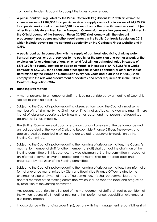considering tenders, is bound to accept the lowest value tender.

- f. **A public contract regulated by the Public Contracts Regulations 2015 with an estimated value in excess of £189,330 for a public service or supply contract or in excess of £4,733,252 for a public works contract; or £663,540 for a social and other specific services contract (or other thresholds determined by the European Commission every two years and published in the Official Journal of the European Union (OJEU)) shall comply with the relevant procurement procedures and other requirements in the Public Contracts Regulations 2015 which include advertising the contract opportunity on the Contracts Finder website and in OJEU.**
- g. **A public contract in connection with the supply of gas, heat, electricity, drinking water, transport services, or postal services to the public; or the provision of a port or airport; or the exploration for or extraction of gas, oil or solid fuel with an estimated value in excess of £378,660 for a supply, services or design contract; or in excess of £4,733,252 for a works contract; or £663,540 for a social and other specific services contract (or other thresholds determined by the European Commission every two years and published in OJEU) shall comply with the relevant procurement procedures and other requirements in the Utilities Contracts Regulations 2016.**

## <span id="page-17-0"></span>**Handling staff matters**

- a A matter personal to a member of staff that is being considered by a meeting of Council is subject to standing order 11.
- b Subject to the Council's policy regarding absences from work, the Council's most senior member of staff shall notify the Chairman or, if he is not available, the vice-chairman (if there is one) of absence occasioned by illness or other reason and that person shall report such absence at its next meeting.
- c The Staffing Committee shall upon a resolution conduct a review of the performance and annual appraisal of the work of Clerk and Responsible Finance Officer. The reviews and appraisal shall be reported in writing and are subject to approval by resolution by the Staffing Committee.
- d Subject to the Council's policy regarding the handling of grievance matters, the Council's most senior member of staff (or other members of staff) shall contact the chairman of the Staffing committee or in his absence, the vice-chairman of Staffing committee in respect of an informal or formal grievance matter, and this matter shall be reported back and progressed by resolution of the Staffing committee.
- e Subject to the Council's policy regarding the handling of grievance matters, if an informal or formal grievance matter raised by Clerk and Respinsilbe Finance Officer relates to the chairman or vice-chairman of the Staffing committee, this shall be communicated to another member of the Staffing committee, which shall be reported back and progressed by resolution of the Staffing committee.
- f Any persons responsible for all or part of the management of staff shall treat as confidential the written records of all meetings relating to their performance, capabilities, grievance or disciplinary matters.
- g In accordance with standing order 11(a), persons with line management responsibilities shall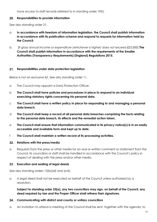have access to staff records referred to in standing order 19(f).

#### <span id="page-18-0"></span> $20.$ **Responsibilities to provide information**

See also standing order 21.

- a **In accordance with freedom of information legislation, the Council shall publish information in accordance with its publication scheme and respond to requests for information held by the Council.**
- b. [*If gross annual income or expenditure (whichever is higher) does not exceed £25,000*] **The Council shall publish information in accordance with the requirements of the Smaller Authorities (Transparency Requirements) (England) Regulations 2015.**

#### <span id="page-18-1"></span> $21.$ **Responsibilities under data protection legislation**

Below is not an exclusive list. See also standing order 11.

- a The Council may appoint a Data Protection Officer.
- b **The Council shall have policies and procedures in place to respond to an individual exercising statutory rights concerning his personal data.**
- c **The Council shall have a written policy in place for responding to and managing a personal data breach.**
- d **The Council shall keep a record of all personal data breaches comprising the facts relating to the personal data breach, its effects and the remedial action taken.**
- e **The Council shall ensure that information communicated in its privacy notice(s) is in an easily accessible and available form and kept up to date.**
- f **The Council shall maintain a written record of its processing activities.**

#### <span id="page-18-2"></span> $22.$ **Relations with the press/media**

a Requests from the press or other media for an oral or written comment or statement from the Council, its councillors or staff shall be handled in accordance with the Council's policy in respect of dealing with the press and/or other media.

## <span id="page-18-3"></span>**Execution and sealing of legal deeds**

See also standing orders 15(b)(xii) and (xvii).

a A legal deed shall not be executed on behalf of the Council unless authorised by a resolution.

**Subject to standing order 23(a), any two councillors may sign, on behalf of the Council, any deed required by law and the Proper Officer shall witness their signatures.**

## <span id="page-18-4"></span>**Communicating with district and county or unitary councillors**

a An invitation to attend a meeting of the Council shall be sent, together with the agenda, to